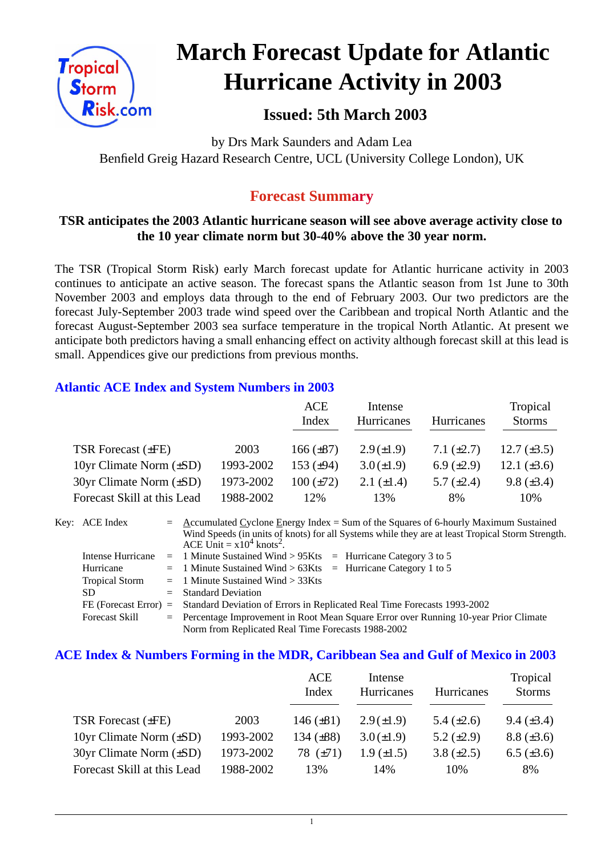

# **March Forecast Update for Atlantic Hurricane Activity in 2003**

## **Issued: 5th March 2003**

by Drs Mark Saunders and Adam Lea Benfield Greig Hazard Research Centre, UCL (University College London), UK

## **Forecast Summary**

#### **TSR anticipates the 2003 Atlantic hurricane season will see above average activity close to the 10 year climate norm but 30-40% above the 30 year norm.**

The TSR (Tropical Storm Risk) early March forecast update for Atlantic hurricane activity in 2003 continues to anticipate an active season. The forecast spans the Atlantic season from 1st June to 30th November 2003 and employs data through to the end of February 2003. Our two predictors are the forecast July-September 2003 trade wind speed over the Caribbean and tropical North Atlantic and the forecast August-September 2003 sea surface temperature in the tropical North Atlantic. At present we anticipate both predictors having a small enhancing effect on activity although forecast skill at this lead is small. Appendices give our predictions from previous months.

#### **Atlantic ACE Index and System Numbers in 2003**

|                                |           | <b>ACE</b><br>Index | Intense<br>Hurricanes | <b>Hurricanes</b> | Tropical<br><b>Storms</b> |
|--------------------------------|-----------|---------------------|-----------------------|-------------------|---------------------------|
| TSR Forecast $(\pm FE)$        | 2003      | $166 (\pm 87)$      | $2.9(\pm 1.9)$        | 7.1 $(\pm 2.7)$   | 12.7 $(\pm 3.5)$          |
| 10yr Climate Norm $(\pm SD)$   | 1993-2002 | 153 $(\pm 94)$      | $3.0 (\pm 1.9)$       | 6.9 $(\pm 2.9)$   | 12.1 $(\pm 3.6)$          |
| $30yr$ Climate Norm $(\pm SD)$ | 1973-2002 | $100 (\pm 72)$      | 2.1 $(\pm 1.4)$       | 5.7 $(\pm 2.4)$   | 9.8 $(\pm 3.4)$           |
| Forecast Skill at this Lead    | 1988-2002 | 12%                 | 13%                   | 8%                | 10%                       |

Key: ACE Index = Accumulated Cyclone Energy Index = Sum of the Squares of 6-hourly Maximum Sustained Wind Speeds (in units of knots) for all Systems while they are at least Tropical Storm Strength. ACE Unit  $= x10^4$  knots<sup>2</sup>. Intense Hurricane  $= 1$  Minute Sustained Wind  $> 95K$ ts  $=$  Hurricane Category 3 to 5 Hurricane  $= 1$  Minute Sustained Wind  $> 63K$ ts = Hurricane Category 1 to 5 Tropical Storm = 1 Minute Sustained Wind > 33Kts SD = Standard Deviation FE (Forecast Error) = Standard Deviation of Errors in Replicated Real Time Forecasts 1993-2002

Forecast Skill = Percentage Improvement in Root Mean Square Error over Running 10-year Prior Climate Norm from Replicated Real Time Forecasts 1988-2002

#### **ACE Index & Numbers Forming in the MDR, Caribbean Sea and Gulf of Mexico in 2003**

|                                |           | ACE<br>Index   | Intense<br>Hurricanes | Hurricanes      | Tropical<br><b>Storms</b> |
|--------------------------------|-----------|----------------|-----------------------|-----------------|---------------------------|
| TSR Forecast $(\pm FE)$        | 2003      | 146 $(\pm 81)$ | $2.9(\pm 1.9)$        | 5.4 $(\pm 2.6)$ | $9.4 \ (\pm 3.4)$         |
| 10yr Climate Norm $(\pm SD)$   | 1993-2002 | 134 $(\pm 88)$ | $3.0 (\pm 1.9)$       | 5.2 $(\pm 2.9)$ | $8.8 (\pm 3.6)$           |
| $30yr$ Climate Norm $(\pm SD)$ | 1973-2002 | 78 $(\pm 71)$  | $1.9 \ (\pm 1.5)$     | 3.8 $(\pm 2.5)$ | $6.5 (\pm 3.6)$           |
| Forecast Skill at this Lead    | 1988-2002 | 13%            | 14%                   | 10%             | 8%                        |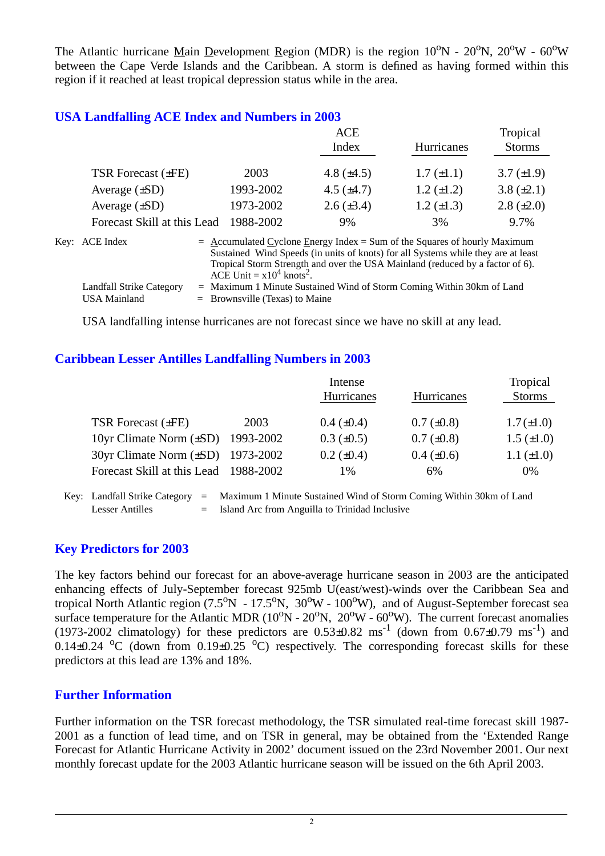The Atlantic hurricane Main Development Region (MDR) is the region  $10^{\circ}N - 20^{\circ}N$ ,  $20^{\circ}W - 60^{\circ}W$ between the Cape Verde Islands and the Caribbean. A storm is defined as having formed within this region if it reached at least tropical depression status while in the area.

#### **USA Landfalling ACE Index and Numbers in 2003**

|                             |           | ACE             |                   | Tropical          |  |
|-----------------------------|-----------|-----------------|-------------------|-------------------|--|
|                             |           | Index           | Hurricanes        | <b>Storms</b>     |  |
|                             |           |                 |                   |                   |  |
| TSR Forecast (±FE)          | 2003      | 4.8 $(\pm 4.5)$ | $1.7 (\pm 1.1)$   | $3.7 \ (\pm 1.9)$ |  |
| Average $(\pm SD)$          | 1993-2002 | 4.5 $(\pm 4.7)$ | $1.2 \ (\pm 1.2)$ | $3.8 (\pm 2.1)$   |  |
| Average $(\pm SD)$          | 1973-2002 | $2.6 (\pm 3.4)$ | $1.2 \ (\pm 1.3)$ | $2.8 (\pm 2.0)$   |  |
| Forecast Skill at this Lead | 1988-2002 | 9%              | 3%                | 9.7%              |  |
|                             |           |                 |                   |                   |  |

| Key: ACE Index           | $=$ Accumulated Cyclone Energy Index $=$ Sum of the Squares of hourly Maximum     |
|--------------------------|-----------------------------------------------------------------------------------|
|                          | Sustained Wind Speeds (in units of knots) for all Systems while they are at least |
|                          | Tropical Storm Strength and over the USA Mainland (reduced by a factor of 6).     |
|                          | ACE Unit = $x10^4$ knots <sup>2</sup> .                                           |
| Landfall Strike Category | $=$ Maximum 1 Minute Sustained Wind of Storm Coming Within 30km of Land           |
| USA Mainland             | $=$ Brownsville (Texas) to Maine                                                  |

USA landfalling intense hurricanes are not forecast since we have no skill at any lead.

#### **Caribbean Lesser Antilles Landfalling Numbers in 2003**

|                                        |      | Intense           |                   | Tropical          |
|----------------------------------------|------|-------------------|-------------------|-------------------|
|                                        |      | Hurricanes        | <b>Hurricanes</b> | <b>Storms</b>     |
|                                        |      |                   |                   |                   |
| TSR Forecast $(\pm FE)$                | 2003 | $0.4~(\pm 0.4)$   | $0.7 (\pm 0.8)$   | $1.7(\pm1.0)$     |
| 10yr Climate Norm $(\pm SD)$ 1993-2002 |      | $0.3 \ (\pm 0.5)$ | $0.7 (\pm 0.8)$   | $1.5 \ (\pm 1.0)$ |
| 30yr Climate Norm (±SD) 1973-2002      |      | $0.2 \ (\pm 0.4)$ | $0.4 \ (\pm 0.6)$ | $1.1 (\pm 1.0)$   |
| Forecast Skill at this Lead 1988-2002  |      | 1%                | 6%                | 0%                |

Key: Landfall Strike Category = Maximum 1 Minute Sustained Wind of Storm Coming Within 30km of Land Lesser Antilles  $=$  Island Arc from Anguilla to Trinidad Inclusive

#### **Key Predictors for 2003**

The key factors behind our forecast for an above-average hurricane season in 2003 are the anticipated enhancing effects of July-September forecast 925mb U(east/west)-winds over the Caribbean Sea and tropical North Atlantic region  $(7.5^{\circ}N - 17.5^{\circ}N, 30^{\circ}W - 100^{\circ}W)$ , and of August-September forecast sea surface temperature for the Atlantic MDR ( $10^{\circ}N - 20^{\circ}N$ ,  $20^{\circ}W - 60^{\circ}W$ ). The current forecast anomalies (1973-2002 climatology) for these predictors are  $0.53\pm0.82$  ms<sup>-1</sup> (down from  $0.67\pm0.79$  ms<sup>-1</sup>) and  $0.14\pm0.24$  °C (down from 0.19 $\pm$ 0.25 °C) respectively. The corresponding forecast skills for these predictors at this lead are 13% and 18%.

#### **Further Information**

Further information on the TSR forecast methodology, the TSR simulated real-time forecast skill 1987- 2001 as a function of lead time, and on TSR in general, may be obtained from the 'Extended Range Forecast for Atlantic Hurricane Activity in 2002' document issued on the 23rd November 2001. Our next monthly forecast update for the 2003 Atlantic hurricane season will be issued on the 6th April 2003.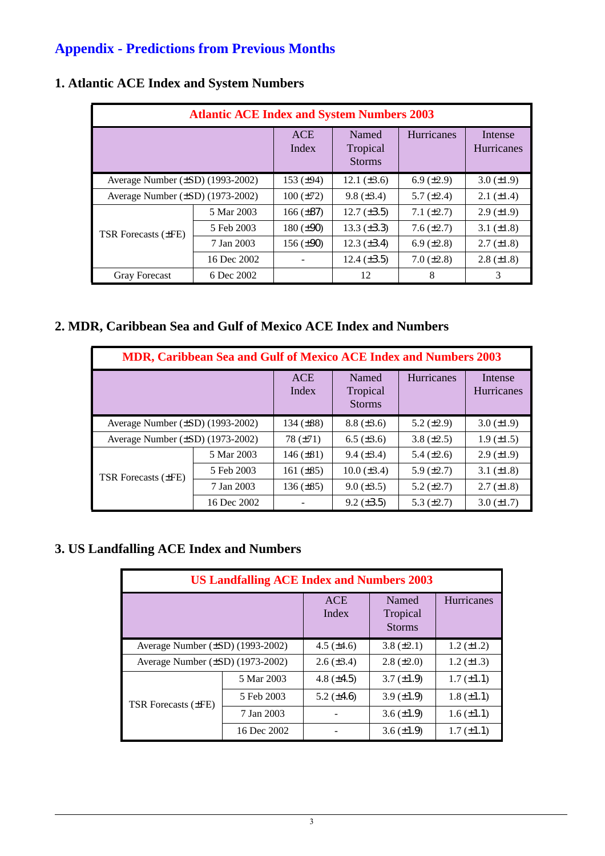# **Appendix - Predictions from Previous Months**

| <b>Atlantic ACE Index and System Numbers 2003</b> |             |                     |                                    |                   |                              |  |
|---------------------------------------------------|-------------|---------------------|------------------------------------|-------------------|------------------------------|--|
|                                                   |             | <b>ACE</b><br>Index | Named<br>Tropical<br><b>Storms</b> | <b>Hurricanes</b> | Intense<br><b>Hurricanes</b> |  |
| Average Number $(\pm SD)$ (1993-2002)             |             | 153 $(\pm 94)$      | 12.1 $(\pm 3.6)$                   | 6.9 $(\pm 2.9)$   | $3.0 (\pm 1.9)$              |  |
| Average Number (±SD) (1973-2002)                  |             | $100 (\pm 72)$      | $9.8 \ (\pm 3.4)$                  | 5.7 $(\pm 2.4)$   | $2.1 (\pm 1.4)$              |  |
| TSR Forecasts $(\pm FE)$                          | 5 Mar 2003  | 166 $(\pm 87)$      | $12.7 (\pm 3.5)$                   | 7.1 $(\pm 2.7)$   | $2.9 \ (\pm 1.9)$            |  |
|                                                   | 5 Feb 2003  | $180 (\pm 90)$      | 13.3 $(\pm 3.3)$                   | $7.6 \ (\pm 2.7)$ | 3.1 $(\pm 1.8)$              |  |
|                                                   | 7 Jan 2003  | 156 $(\pm 90)$      | $12.3 \ (\pm 3.4)$                 | 6.9 $(\pm 2.8)$   | $2.7 \ (\pm 1.8)$            |  |
|                                                   | 16 Dec 2002 |                     | 12.4 $(\pm 3.5)$                   | $7.0 (\pm 2.8)$   | $2.8 (\pm 1.8)$              |  |
| <b>Gray Forecast</b>                              | 6 Dec 2002  |                     | 12                                 | 8                 | 3                            |  |

## **1. Atlantic ACE Index and System Numbers**

### **2. MDR, Caribbean Sea and Gulf of Mexico ACE Index and Numbers**

| <b>MDR, Caribbean Sea and Gulf of Mexico ACE Index and Numbers 2003</b> |             |                     |                                    |                   |                              |  |
|-------------------------------------------------------------------------|-------------|---------------------|------------------------------------|-------------------|------------------------------|--|
|                                                                         |             | <b>ACE</b><br>Index | Named<br>Tropical<br><b>Storms</b> | <b>Hurricanes</b> | Intense<br><b>Hurricanes</b> |  |
| Average Number $(\pm SD)$ (1993-2002)                                   |             | 134 $(\pm 88)$      | $8.8 (\pm 3.6)$                    | 5.2 $(\pm 2.9)$   | $3.0 (\pm 1.9)$              |  |
| Average Number $(\pm SD)$ (1973-2002)                                   |             | 78 $(\pm 71)$       | $6.5 \ (\pm 3.6)$                  | 3.8 $(\pm 2.5)$   | $1.9 \ (\pm 1.5)$            |  |
|                                                                         | 5 Mar 2003  | $146 (\pm 81)$      | $9.4 (\pm 3.4)$                    | 5.4 $(\pm 2.6)$   | $2.9 \ (\pm 1.9)$            |  |
| TSR Forecasts (±FE)                                                     | 5 Feb 2003  | 161 $(\pm 85)$      | $10.0 (\pm 3.4)$                   | 5.9 $(\pm 2.7)$   | 3.1 $(\pm 1.8)$              |  |
|                                                                         | 7 Jan 2003  | $136 (\pm 85)$      | $9.0 \ (\pm 3.5)$                  | 5.2 $(\pm 2.7)$   | $2.7 (\pm 1.8)$              |  |
|                                                                         | 16 Dec 2002 |                     | $9.2 (\pm 3.5)$                    | 5.3 $(\pm 2.7)$   | $3.0 \ (\pm 1.7)$            |  |

## **3. US Landfalling ACE Index and Numbers**

| <b>US Landfalling ACE Index and Numbers 2003</b> |             |                 |                                    |                   |  |  |
|--------------------------------------------------|-------------|-----------------|------------------------------------|-------------------|--|--|
|                                                  |             | ACE<br>Index    | Named<br>Tropical<br><b>Storms</b> | Hurricanes        |  |  |
| Average Number $(\pm SD)$ (1993-2002)            |             | 4.5 $(\pm 4.6)$ | $3.8 (\pm 2.1)$                    | $1.2 (\pm 1.2)$   |  |  |
| Average Number $(\pm SD)$ (1973-2002)            |             | $2.6 (\pm 3.4)$ | $2.8 (\pm 2.0)$                    | $1.2 \ (\pm 1.3)$ |  |  |
| TSR Forecasts (±FE)                              | 5 Mar 2003  | 4.8 $(\pm 4.5)$ | $3.7 (\pm 1.9)$                    | $1.7 (\pm 1.1)$   |  |  |
|                                                  | 5 Feb 2003  | 5.2 $(\pm 4.6)$ | 3.9 $(\pm 1.9)$                    | $1.8 (\pm 1.1)$   |  |  |
|                                                  | 7 Jan 2003  |                 | $3.6 \ (\pm 1.9)$                  | $1.6 (\pm 1.1)$   |  |  |
|                                                  | 16 Dec 2002 |                 | $3.6 \ (\pm 1.9)$                  | $1.7 (\pm 1.1)$   |  |  |